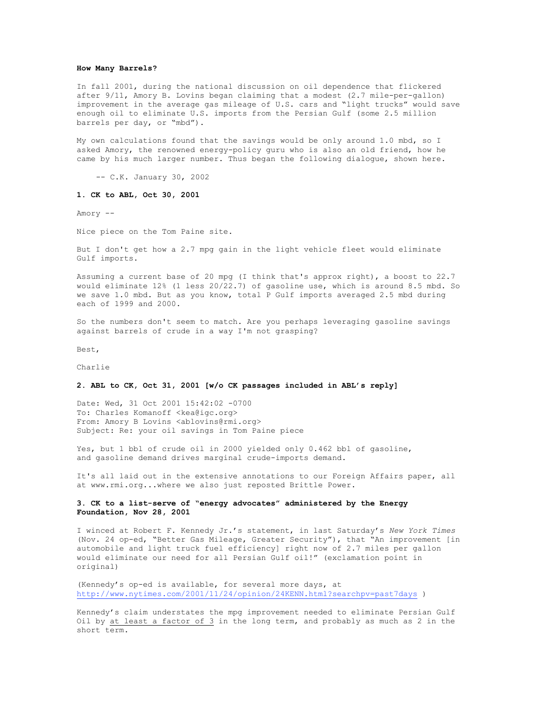#### **How Many Barrels?**

In fall 2001, during the national discussion on oil dependence that flickered after 9/11, Amory B. Lovins began claiming that a modest (2.7 mile-per-gallon) improvement in the average gas mileage of U.S. cars and "light trucks" would save enough oil to eliminate U.S. imports from the Persian Gulf (some 2.5 million barrels per day, or "mbd").

My own calculations found that the savings would be only around 1.0 mbd, so I asked Amory, the renowned energy-policy guru who is also an old friend, how he came by his much larger number. Thus began the following dialogue, shown here.

-- C.K. January 30, 2002

### **1. CK to ABL, Oct 30, 2001**

Amory --

Nice piece on the Tom Paine site.

But I don't get how a 2.7 mpg gain in the light vehicle fleet would eliminate Gulf imports.

Assuming a current base of 20 mpg (I think that's approx right), a boost to 22.7 would eliminate 12% (1 less 20/22.7) of gasoline use, which is around 8.5 mbd. So we save 1.0 mbd. But as you know, total P Gulf imports averaged 2.5 mbd during each of 1999 and 2000.

So the numbers don't seem to match. Are you perhaps leveraging gasoline savings against barrels of crude in a way I'm not grasping?

Best,

Charlie

### **2. ABL to CK, Oct 31, 2001 [w/o CK passages included in ABL's reply]**

Date: Wed, 31 Oct 2001 15:42:02 -0700 To: Charles Komanoff <kea@igc.org> From: Amory B Lovins <ablovins@rmi.org> Subject: Re: your oil savings in Tom Paine piece

Yes, but 1 bbl of crude oil in 2000 yielded only 0.462 bbl of gasoline, and gasoline demand drives marginal crude-imports demand.

It's all laid out in the extensive annotations to our Foreign Affairs paper, all at www.rmi.org...where we also just reposted Brittle Power.

# **3. CK to a list-serve of "energy advocates" administered by the Energy Foundation, Nov 28, 2001**

I winced at Robert F. Kennedy Jr.'s statement, in last Saturday's *New York Times* (Nov. 24 op-ed, "Better Gas Mileage, Greater Security"), that "An improvement [in automobile and light truck fuel efficiency] right now of 2.7 miles per gallon would eliminate our need for all Persian Gulf oil!" (exclamation point in original)

(Kennedy's op-ed is available, for several more days, at http://www.nytimes.com/2001/11/24/opinion/24KENN.html?searchpv=past7days )

Kennedy's claim understates the mpg improvement needed to eliminate Persian Gulf Oil by at least a factor of  $3$  in the long term, and probably as much as  $2$  in the short term.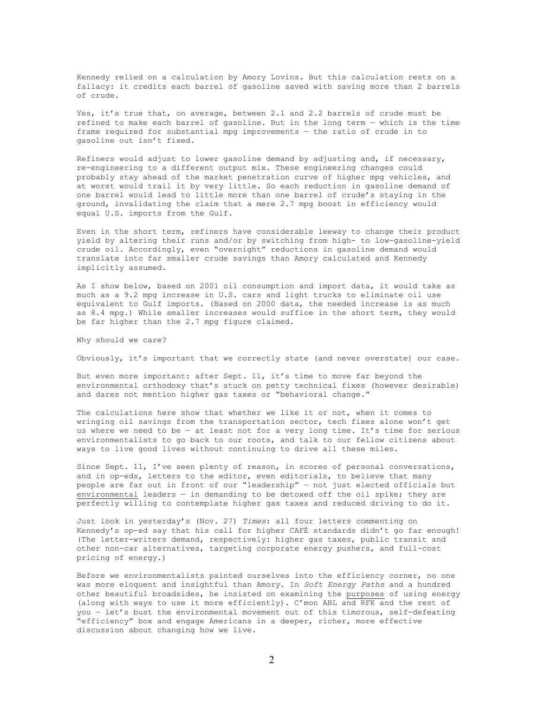Kennedy relied on a calculation by Amory Lovins. But this calculation rests on a fallacy: it credits each barrel of gasoline saved with saving more than 2 barrels of crude.

Yes, it's true that, on average, between 2.1 and 2.2 barrels of crude must be refined to make each barrel of gasoline. But in the long term — which is the time frame required for substantial mpg improvements — the ratio of crude in to gasoline out isn't fixed.

Refiners would adjust to lower gasoline demand by adjusting and, if necessary, re-engineering to a different output mix. These engineering changes could probably stay ahead of the market penetration curve of higher mpg vehicles, and at worst would trail it by very little. So each reduction in gasoline demand of one barrel would lead to little more than one barrel of crude's staying in the ground, invalidating the claim that a mere 2.7 mpg boost in efficiency would equal U.S. imports from the Gulf.

Even in the short term, refiners have considerable leeway to change their product yield by altering their runs and/or by switching from high- to low-gasoline-yield crude oil. Accordingly, even "overnight" reductions in gasoline demand would translate into far smaller crude savings than Amory calculated and Kennedy implicitly assumed.

As I show below, based on 2001 oil consumption and import data, it would take as much as a 9.2 mpg increase in U.S. cars and light trucks to eliminate oil use equivalent to Gulf imports. (Based on 2000 data, the needed increase is as much as 8.4 mpg.) While smaller increases would suffice in the short term, they would be far higher than the 2.7 mpg figure claimed.

Why should we care?

Obviously, it's important that we correctly state (and never overstate) our case.

But even more important: after Sept. 11, it's time to move far beyond the environmental orthodoxy that's stuck on petty technical fixes (however desirable) and dares not mention higher gas taxes or "behavioral change."

The calculations here show that whether we like it or not, when it comes to wringing oil savings from the transportation sector, tech fixes alone won't get us where we need to be — at least not for a very long time. It's time for serious environmentalists to go back to our roots, and talk to our fellow citizens about ways to live good lives without continuing to drive all these miles.

Since Sept. 11, I've seen plenty of reason, in scores of personal conversations, and in op-eds, letters to the editor, even editorials, to believe that many people are far out in front of our "leadership" — not just elected officials but environmental leaders — in demanding to be detoxed off the oil spike; they are perfectly willing to contemplate higher gas taxes and reduced driving to do it.

Just look in yesterday's (Nov. 27) *Times*: all four letters commenting on Kennedy's op-ed say that his call for higher CAFÉ standards didn't go far enough! (The letter-writers demand, respectively: higher gas taxes, public transit and other non-car alternatives, targeting corporate energy pushers, and full-cost pricing of energy.)

Before we environmentalists painted ourselves into the efficiency corner, no one was more eloquent and insightful than Amory. In *Soft Energy Paths* and a hundred other beautiful broadsides, he insisted on examining the purposes of using energy (along with ways to use it more efficiently). C'mon ABL and RFK and the rest of you — let's bust the environmental movement out of this timorous, self-defeating "efficiency" box and engage Americans in a deeper, richer, more effective discussion about changing how we live.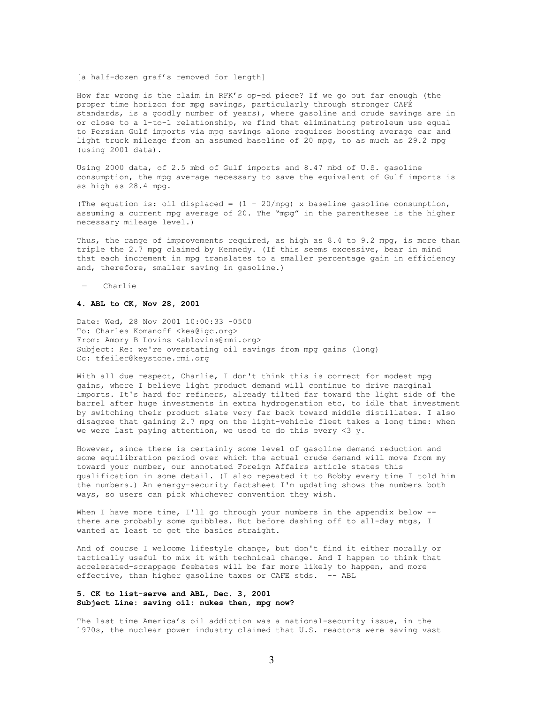#### [a half-dozen graf's removed for length]

How far wrong is the claim in RFK's op-ed piece? If we go out far enough (the proper time horizon for mpg savings, particularly through stronger CAFÉ standards, is a goodly number of years), where gasoline and crude savings are in or close to a 1-to-1 relationship, we find that eliminating petroleum use equal to Persian Gulf imports via mpg savings alone requires boosting average car and light truck mileage from an assumed baseline of 20 mpg, to as much as 29.2 mpg (using 2001 data).

Using 2000 data, of 2.5 mbd of Gulf imports and 8.47 mbd of U.S. gasoline consumption, the mpg average necessary to save the equivalent of Gulf imports is as high as 28.4 mpg.

(The equation is: oil displaced =  $(1 - 20/mpq)$  x baseline gasoline consumption, assuming a current mpg average of 20. The "mpg" in the parentheses is the higher necessary mileage level.)

Thus, the range of improvements required, as high as 8.4 to 9.2 mpg, is more than triple the 2.7 mpg claimed by Kennedy. (If this seems excessive, bear in mind that each increment in mpg translates to a smaller percentage gain in efficiency and, therefore, smaller saving in gasoline.)

— Charlie

# **4. ABL to CK, Nov 28, 2001**

Date: Wed, 28 Nov 2001 10:00:33 -0500 To: Charles Komanoff <kea@igc.org> From: Amory B Lovins <ablovins@rmi.org> Subject: Re: we're overstating oil savings from mpg gains (long) Cc: tfeiler@keystone.rmi.org

With all due respect, Charlie, I don't think this is correct for modest mpg gains, where I believe light product demand will continue to drive marginal imports. It's hard for refiners, already tilted far toward the light side of the barrel after huge investments in extra hydrogenation etc, to idle that investment by switching their product slate very far back toward middle distillates. I also disagree that gaining 2.7 mpg on the light-vehicle fleet takes a long time: when we were last paying attention, we used to do this every  $\langle 3 \, y. \rangle$ 

However, since there is certainly some level of gasoline demand reduction and some equilibration period over which the actual crude demand will move from my toward your number, our annotated Foreign Affairs article states this qualification in some detail. (I also repeated it to Bobby every time I told him the numbers.) An energy-security factsheet I'm updating shows the numbers both ways, so users can pick whichever convention they wish.

When I have more time, I'll go through your numbers in the appendix below -there are probably some quibbles. But before dashing off to all-day mtgs, I wanted at least to get the basics straight.

And of course I welcome lifestyle change, but don't find it either morally or tactically useful to mix it with technical change. And I happen to think that accelerated-scrappage feebates will be far more likely to happen, and more effective, than higher gasoline taxes or CAFE stds. -- ABL

# **5. CK to list-serve and ABL, Dec. 3, 2001 Subject Line: saving oil: nukes then, mpg now?**

The last time America's oil addiction was a national-security issue, in the 1970s, the nuclear power industry claimed that U.S. reactors were saving vast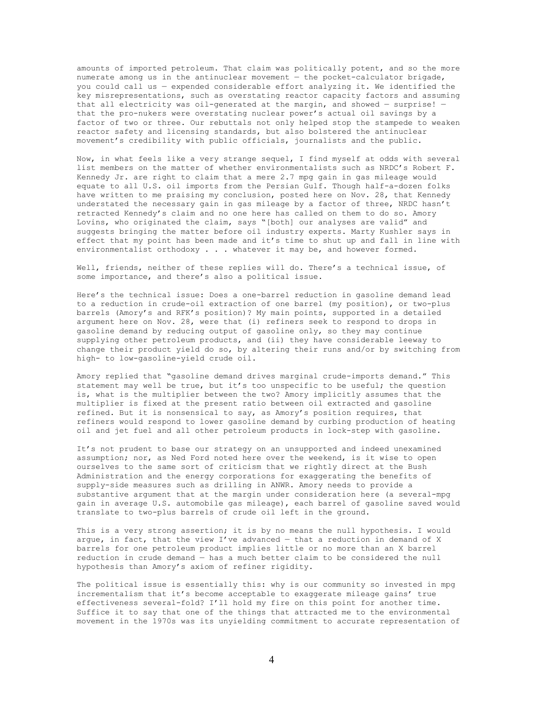amounts of imported petroleum. That claim was politically potent, and so the more numerate among us in the antinuclear movement — the pocket-calculator brigade, you could call us — expended considerable effort analyzing it. We identified the key misrepresentations, such as overstating reactor capacity factors and assuming that all electricity was oil-generated at the margin, and showed — surprise! that the pro-nukers were overstating nuclear power's actual oil savings by a factor of two or three. Our rebuttals not only helped stop the stampede to weaken reactor safety and licensing standards, but also bolstered the antinuclear movement's credibility with public officials, journalists and the public.

Now, in what feels like a very strange sequel, I find myself at odds with several list members on the matter of whether environmentalists such as NRDC's Robert F. Kennedy Jr. are right to claim that a mere 2.7 mpg gain in gas mileage would equate to all U.S. oil imports from the Persian Gulf. Though half-a-dozen folks have written to me praising my conclusion, posted here on Nov. 28, that Kennedy understated the necessary gain in gas mileage by a factor of three, NRDC hasn't retracted Kennedy's claim and no one here has called on them to do so. Amory Lovins, who originated the claim, says "[both] our analyses are valid" and suggests bringing the matter before oil industry experts. Marty Kushler says in effect that my point has been made and it's time to shut up and fall in line with environmentalist orthodoxy . . . whatever it may be, and however formed.

Well, friends, neither of these replies will do. There's a technical issue, of some importance, and there's also a political issue.

Here's the technical issue: Does a one-barrel reduction in gasoline demand lead to a reduction in crude-oil extraction of one barrel (my position), or two-plus barrels (Amory's and RFK's position)? My main points, supported in a detailed argument here on Nov. 28, were that (i) refiners seek to respond to drops in gasoline demand by reducing output of gasoline only, so they may continue supplying other petroleum products, and (ii) they have considerable leeway to change their product yield do so, by altering their runs and/or by switching from high- to low-gasoline-yield crude oil.

Amory replied that "gasoline demand drives marginal crude-imports demand." This statement may well be true, but it's too unspecific to be useful; the question is, what is the multiplier between the two? Amory implicitly assumes that the multiplier is fixed at the present ratio between oil extracted and gasoline refined. But it is nonsensical to say, as Amory's position requires, that refiners would respond to lower gasoline demand by curbing production of heating oil and jet fuel and all other petroleum products in lock-step with gasoline.

It's not prudent to base our strategy on an unsupported and indeed unexamined assumption; nor, as Ned Ford noted here over the weekend, is it wise to open ourselves to the same sort of criticism that we rightly direct at the Bush Administration and the energy corporations for exaggerating the benefits of supply-side measures such as drilling in ANWR. Amory needs to provide a substantive argument that at the margin under consideration here (a several-mpg gain in average U.S. automobile gas mileage), each barrel of gasoline saved would translate to two-plus barrels of crude oil left in the ground.

This is a very strong assertion; it is by no means the null hypothesis. I would arque, in fact, that the view I've advanced  $-$  that a reduction in demand of X barrels for one petroleum product implies little or no more than an X barrel reduction in crude demand — has a much better claim to be considered the null hypothesis than Amory's axiom of refiner rigidity.

The political issue is essentially this: why is our community so invested in mpg incrementalism that it's become acceptable to exaggerate mileage gains' true effectiveness several-fold? I'll hold my fire on this point for another time. Suffice it to say that one of the things that attracted me to the environmental movement in the 1970s was its unyielding commitment to accurate representation of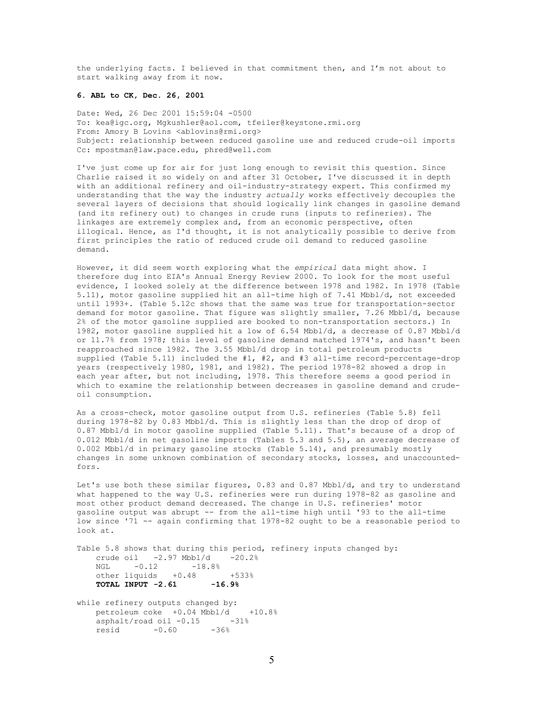the underlying facts. I believed in that commitment then, and I'm not about to start walking away from it now.

#### **6. ABL to CK, Dec. 26, 2001**

Date: Wed, 26 Dec 2001 15:59:04 -0500 To: kea@igc.org, Mgkushler@aol.com, tfeiler@keystone.rmi.org From: Amory B Lovins <ablovins@rmi.org> Subject: relationship between reduced gasoline use and reduced crude-oil imports Cc: mpostman@law.pace.edu, phred@well.com

I've just come up for air for just long enough to revisit this question. Since Charlie raised it so widely on and after 31 October, I've discussed it in depth with an additional refinery and oil-industry-strategy expert. This confirmed my understanding that the way the industry *actually* works effectively decouples the several layers of decisions that should logically link changes in gasoline demand (and its refinery out) to changes in crude runs (inputs to refineries). The linkages are extremely complex and, from an economic perspective, often illogical. Hence, as I'd thought, it is not analytically possible to derive from first principles the ratio of reduced crude oil demand to reduced gasoline demand.

However, it did seem worth exploring what the *empirical* data might show. I therefore dug into EIA's Annual Energy Review 2000. To look for the most useful evidence, I looked solely at the difference between 1978 and 1982. In 1978 (Table 5.11), motor gasoline supplied hit an all-time high of 7.41 Mbbl/d, not exceeded until 1993+. (Table 5.12c shows that the same was true for transportation-sector demand for motor gasoline. That figure was slightly smaller, 7.26 Mbbl/d, because 2% of the motor gasoline supplied are booked to non-transportation sectors.) In 1982, motor gasoline supplied hit a low of 6.54 Mbbl/d, a decrease of 0.87 Mbbl/d or 11.7% from 1978; this level of gasoline demand matched 1974's, and hasn't been reapproached since 1982. The 3.55 Mbbl/d drop in total petroleum products supplied (Table 5.11) included the #1, #2, and #3 all-time record-percentage-drop years (respectively 1980, 1981, and 1982). The period 1978-82 showed a drop in each year after, but not including, 1978. This therefore seems a good period in which to examine the relationship between decreases in gasoline demand and crudeoil consumption.

As a cross-check, motor gasoline output from U.S. refineries (Table 5.8) fell during 1978-82 by 0.83 Mbbl/d. This is slightly less than the drop of drop of 0.87 Mbbl/d in motor gasoline supplied (Table 5.11). That's because of a drop of 0.012 Mbbl/d in net gasoline imports (Tables 5.3 and 5.5), an average decrease of 0.002 Mbbl/d in primary gasoline stocks (Table 5.14), and presumably mostly changes in some unknown combination of secondary stocks, losses, and unaccountedfors.

Let's use both these similar figures, 0.83 and 0.87 Mbbl/d, and try to understand what happened to the way U.S. refineries were run during 1978-82 as gasoline and most other product demand decreased. The change in U.S. refineries' motor gasoline output was abrupt -- from the all-time high until '93 to the all-time low since '71 -- again confirming that 1978-82 ought to be a reasonable period to look at.

Table 5.8 shows that during this period, refinery inputs changed by: crude oil  $-2.97 \text{ Mbb}/d$   $-20.2\%$ <br>NGL  $-0.12$   $-18.8\%$  $-0.12$   $-18.8%$ other liquids +0.48 +533% **TOTAL INPUT -2.61 -16.9%**

while refinery outputs changed by: petroleum coke +0.04 Mbbl/d +10.8%  $a$ sphalt/road oil  $-0.15$   $-31\%$ resid -0.60 -36%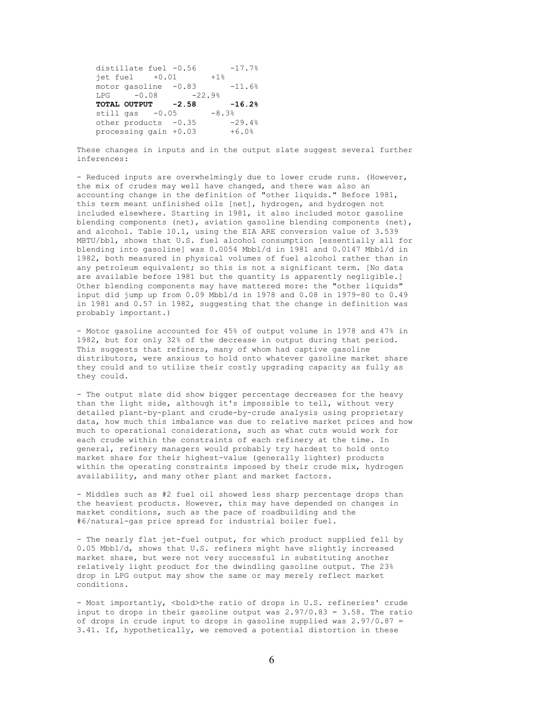distillate fuel  $-0.56$   $-17.7%$ <br>iet fuel  $+0.01$   $+1%$  $jet$   $fuel$   $+0.01$ motor gasoline  $-0.83$   $-11.6%$ LPG  $-0.08$   $-22.9%$ **TOTAL OUTPUT -2.58 -16.2%** still gas  $-0.05$   $-8.3%$ <br>other products  $-0.35$   $-29.4%$ other products -0.35 processing gain +0.03 +6.0%

These changes in inputs and in the output slate suggest several further inferences:

- Reduced inputs are overwhelmingly due to lower crude runs. (However, the mix of crudes may well have changed, and there was also an accounting change in the definition of "other liquids." Before 1981, this term meant unfinished oils [net], hydrogen, and hydrogen not included elsewhere. Starting in 1981, it also included motor gasoline blending components (net), aviation gasoline blending components (net), and alcohol. Table 10.1, using the EIA ARE conversion value of 3.539 MBTU/bbl, shows that U.S. fuel alcohol consumption [essentially all for blending into gasoline] was 0.0054 Mbbl/d in 1981 and 0.0147 Mbbl/d in 1982, both measured in physical volumes of fuel alcohol rather than in any petroleum equivalent; so this is not a significant term. [No data are available before 1981 but the quantity is apparently negligible.] Other blending components may have mattered more: the "other liquids" input did jump up from  $0.09$  Mbbl/d in 1978 and  $0.08$  in 1979-80 to  $0.49$ in 1981 and 0.57 in 1982, suggesting that the change in definition was probably important.)

- Motor gasoline accounted for 45% of output volume in 1978 and 47% in 1982, but for only 32% of the decrease in output during that period. This suggests that refiners, many of whom had captive gasoline distributors, were anxious to hold onto whatever gasoline market share they could and to utilize their costly upgrading capacity as fully as they could.

- The output slate did show bigger percentage decreases for the heavy than the light side, although it's impossible to tell, without very detailed plant-by-plant and crude-by-crude analysis using proprietary data, how much this imbalance was due to relative market prices and how much to operational considerations, such as what cuts would work for each crude within the constraints of each refinery at the time. In general, refinery managers would probably try hardest to hold onto market share for their highest-value (generally lighter) products within the operating constraints imposed by their crude mix, hydrogen availability, and many other plant and market factors.

- Middles such as #2 fuel oil showed less sharp percentage drops than the heaviest products. However, this may have depended on changes in market conditions, such as the pace of roadbuilding and the #6/natural-gas price spread for industrial boiler fuel.

- The nearly flat jet-fuel output, for which product supplied fell by 0.05 Mbbl/d, shows that U.S. refiners might have slightly increased market share, but were not very successful in substituting another relatively light product for the dwindling gasoline output. The 23% drop in LPG output may show the same or may merely reflect market conditions.

- Most importantly, <br/>bold>the ratio of drops in U.S. refineries' crude input to drops in their gasoline output was  $2.97/0.83 = 3.58$ . The ratio of drops in crude input to drops in gasoline supplied was  $2.97/0.87 =$ 3.41. If, hypothetically, we removed a potential distortion in these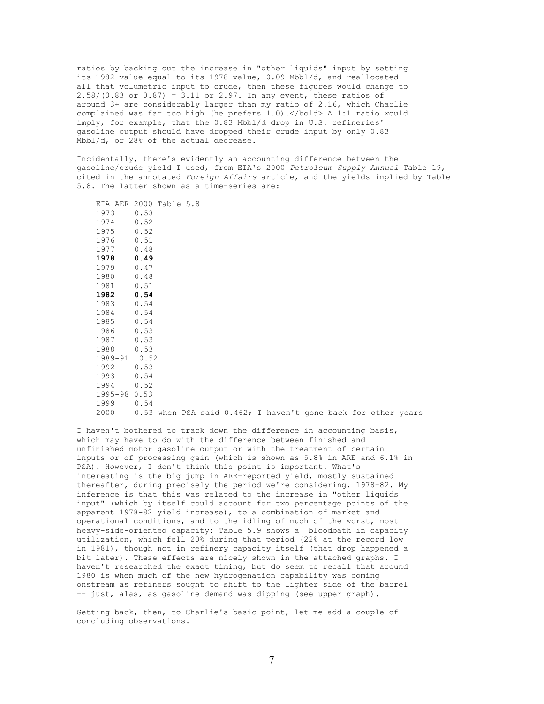ratios by backing out the increase in "other liquids" input by setting its 1982 value equal to its 1978 value, 0.09 Mbbl/d, and reallocated all that volumetric input to crude, then these figures would change to 2.58/(0.83 or 0.87) = 3.11 or 2.97. In any event, these ratios of around 3+ are considerably larger than my ratio of 2.16, which Charlie complained was far too high (he prefers 1.0).</bold> A 1:1 ratio would imply, for example, that the 0.83 Mbbl/d drop in U.S. refineries' gasoline output should have dropped their crude input by only 0.83 Mbbl/d, or 28% of the actual decrease.

Incidentally, there's evidently an accounting difference between the gasoline/crude yield I used, from EIA's 2000 *Petroleum Supply Annual* Table 19, cited in the annotated *Foreign Affairs* article, and the yields implied by Table 5.8. The latter shown as a time-series are:

| EIA AER 2000 Table 5.8 |      |  |  |                                                               |  |  |  |
|------------------------|------|--|--|---------------------------------------------------------------|--|--|--|
| 1973                   | 0.53 |  |  |                                                               |  |  |  |
| 1974                   | 0.52 |  |  |                                                               |  |  |  |
| 1975                   | 0.52 |  |  |                                                               |  |  |  |
| 1976                   | 0.51 |  |  |                                                               |  |  |  |
| 1977                   | 0.48 |  |  |                                                               |  |  |  |
| 1978                   | 0.49 |  |  |                                                               |  |  |  |
| 1979                   | 0.47 |  |  |                                                               |  |  |  |
| 1980                   | 0.48 |  |  |                                                               |  |  |  |
| 1981                   | 0.51 |  |  |                                                               |  |  |  |
| 1982                   | 0.54 |  |  |                                                               |  |  |  |
| 1983                   | 0.54 |  |  |                                                               |  |  |  |
| 1984                   | 0.54 |  |  |                                                               |  |  |  |
| 1985                   | 0.54 |  |  |                                                               |  |  |  |
| 1986                   | 0.53 |  |  |                                                               |  |  |  |
| 1987                   | 0.53 |  |  |                                                               |  |  |  |
| 1988                   | 0.53 |  |  |                                                               |  |  |  |
| 1989-91 0.52           |      |  |  |                                                               |  |  |  |
| 1992                   | 0.53 |  |  |                                                               |  |  |  |
| 1993                   | 0.54 |  |  |                                                               |  |  |  |
| 1994                   | 0.52 |  |  |                                                               |  |  |  |
| 1995-98 0.53           |      |  |  |                                                               |  |  |  |
| 1999                   | 0.54 |  |  |                                                               |  |  |  |
| 2000                   |      |  |  | 0.53 when PSA said 0.462; I haven't gone back for other years |  |  |  |

I haven't bothered to track down the difference in accounting basis, which may have to do with the difference between finished and unfinished motor gasoline output or with the treatment of certain inputs or of processing gain (which is shown as 5.8% in ARE and 6.1% in PSA). However, I don't think this point is important. What's interesting is the big jump in ARE-reported yield, mostly sustained thereafter, during precisely the period we're considering, 1978-82. My inference is that this was related to the increase in "other liquids input" (which by itself could account for two percentage points of the apparent 1978-82 yield increase), to a combination of market and operational conditions, and to the idling of much of the worst, most heavy-side-oriented capacity: Table 5.9 shows a bloodbath in capacity utilization, which fell 20% during that period (22% at the record low in 1981), though not in refinery capacity itself (that drop happened a bit later). These effects are nicely shown in the attached graphs. I haven't researched the exact timing, but do seem to recall that around 1980 is when much of the new hydrogenation capability was coming onstream as refiners sought to shift to the lighter side of the barrel -- just, alas, as gasoline demand was dipping (see upper graph).

Getting back, then, to Charlie's basic point, let me add a couple of concluding observations.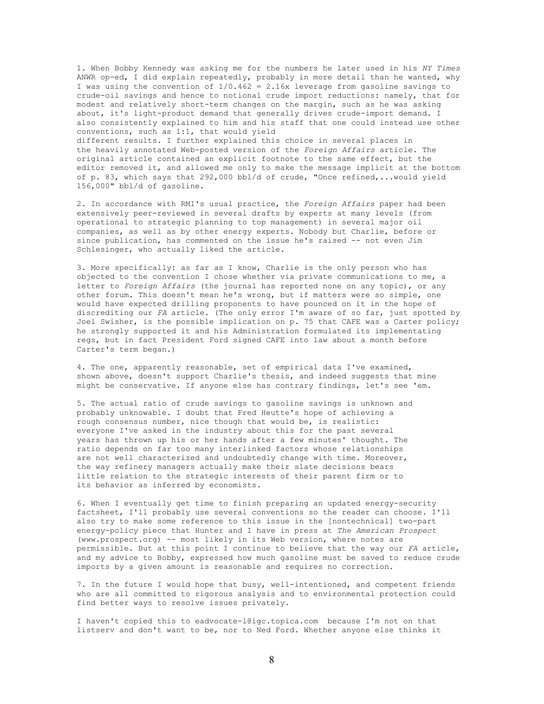1. When Bobby Kennedy was asking me for the numbers he later used in his *NY Times* ANWR op-ed, I did explain repeatedly, probably in more detail than he wanted, why I was using the convention of 1/0.462 = 2.16x leverage from gasoline savings to crude-oil savings and hence to notional crude import reductions: namely, that for modest and relatively short-term changes on the margin, such as he was asking about, it's light-product demand that generally drives crude-import demand. I also consistently explained to him and his staff that one could instead use other conventions, such as 1:1, that would yield different results. I further explained this choice in several places in the heavily annotated Web-posted version of the *Foreign Affairs* article. The original article contained an explicit footnote to the same effect, but the

editor removed it, and allowed me only to make the message implicit at the bottom of p. 83, which says that 292,000 bbl/d of crude, "Once refined,...would yield 156,000" bbl/d of gasoline.

2. In accordance with RMI's usual practice, the *Foreign Affairs* paper had been extensively peer-reviewed in several drafts by experts at many levels (from operational to strategic planning to top management) in several major oil companies, as well as by other energy experts. Nobody but Charlie, before or since publication, has commented on the issue he's raised -- not even Jim Schlesinger, who actually liked the article.

3. More specifically: as far as I know, Charlie is the only person who has objected to the convention I chose whether via private communications to me, a letter to *Foreign Affairs* (the journal has reported none on any topic), or any other forum. This doesn't mean he's wrong, but if matters were so simple, one would have expected drilling proponents to have pounced on it in the hope of discrediting our *FA* article. (The only error I'm aware of so far, just spotted by Joel Swisher, is the possible implication on p. 75 that CAFE was a Carter policy; he strongly supported it and his Administration formulated its implementating regs, but in fact President Ford signed CAFE into law about a month before Carter's term began.)

4. The one, apparently reasonable, set of empirical data I've examined, shown above, doesn't support Charlie's thesis, and indeed suggests that mine might be conservative. If anyone else has contrary findings, let's see 'em.

5. The actual ratio of crude savings to gasoline savings is unknown and probably unknowable. I doubt that Fred Heutte's hope of achieving a rough consensus number, nice though that would be, is realistic: everyone I've asked in the industry about this for the past several years has thrown up his or her hands after a few minutes' thought. The ratio depends on far too many interlinked factors whose relationships are not well characterized and undoubtedly change with time. Moreover, the way refinery managers actually make their slate decisions bears little relation to the strategic interests of their parent firm or to its behavior as inferred by economists.

6. When I eventually get time to finish preparing an updated energy-security factsheet, I'll probably use several conventions so the reader can choose. I'll also try to make some reference to this issue in the [nontechnical] two-part energy-policy piece that Hunter and I have in press at *The American Prospect* (www.prospect.org) -- most likely in its Web version, where notes are permissible. But at this point I continue to believe that the way our *FA* article, and my advice to Bobby, expressed how much gasoline must be saved to reduce crude imports by a given amount is reasonable and requires no correction.

7. In the future I would hope that busy, well-intentioned, and competent friends who are all committed to rigorous analysis and to environmental protection could find better ways to resolve issues privately.

I haven't copied this to eadvocate-l@igc.topica.com because I'm not on that listserv and don't want to be, nor to Ned Ford. Whether anyone else thinks it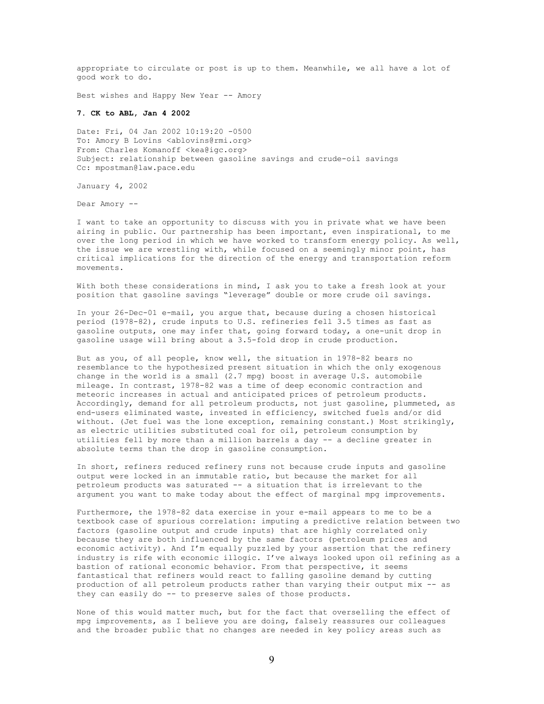appropriate to circulate or post is up to them. Meanwhile, we all have a lot of good work to do.

Best wishes and Happy New Year -- Amory

### **7. CK to ABL, Jan 4 2002**

Date: Fri, 04 Jan 2002 10:19:20 -0500 To: Amory B Lovins <ablovins@rmi.org> From: Charles Komanoff <kea@igc.org> Subject: relationship between gasoline savings and crude-oil savings Cc: mpostman@law.pace.edu

January 4, 2002

Dear Amory --

I want to take an opportunity to discuss with you in private what we have been airing in public. Our partnership has been important, even inspirational, to me over the long period in which we have worked to transform energy policy. As well, the issue we are wrestling with, while focused on a seemingly minor point, has critical implications for the direction of the energy and transportation reform movements.

With both these considerations in mind, I ask you to take a fresh look at your position that gasoline savings "leverage" double or more crude oil savings.

In your 26-Dec-01 e-mail, you argue that, because during a chosen historical period (1978-82), crude inputs to U.S. refineries fell 3.5 times as fast as gasoline outputs, one may infer that, going forward today, a one-unit drop in gasoline usage will bring about a 3.5-fold drop in crude production.

But as you, of all people, know well, the situation in 1978-82 bears no resemblance to the hypothesized present situation in which the only exogenous change in the world is a small (2.7 mpg) boost in average U.S. automobile mileage. In contrast, 1978-82 was a time of deep economic contraction and meteoric increases in actual and anticipated prices of petroleum products. Accordingly, demand for all petroleum products, not just gasoline, plummeted, as end-users eliminated waste, invested in efficiency, switched fuels and/or did without. (Jet fuel was the lone exception, remaining constant.) Most strikingly, as electric utilities substituted coal for oil, petroleum consumption by utilities fell by more than a million barrels a day -- a decline greater in absolute terms than the drop in gasoline consumption.

In short, refiners reduced refinery runs not because crude inputs and gasoline output were locked in an immutable ratio, but because the market for all petroleum products was saturated -- a situation that is irrelevant to the argument you want to make today about the effect of marginal mpg improvements.

Furthermore, the 1978-82 data exercise in your e-mail appears to me to be a textbook case of spurious correlation: imputing a predictive relation between two factors (gasoline output and crude inputs) that are highly correlated only because they are both influenced by the same factors (petroleum prices and economic activity). And I'm equally puzzled by your assertion that the refinery industry is rife with economic illogic. I've always looked upon oil refining as a bastion of rational economic behavior. From that perspective, it seems fantastical that refiners would react to falling gasoline demand by cutting production of all petroleum products rather than varying their output mix -- as they can easily do -- to preserve sales of those products.

None of this would matter much, but for the fact that overselling the effect of mpg improvements, as I believe you are doing, falsely reassures our colleagues and the broader public that no changes are needed in key policy areas such as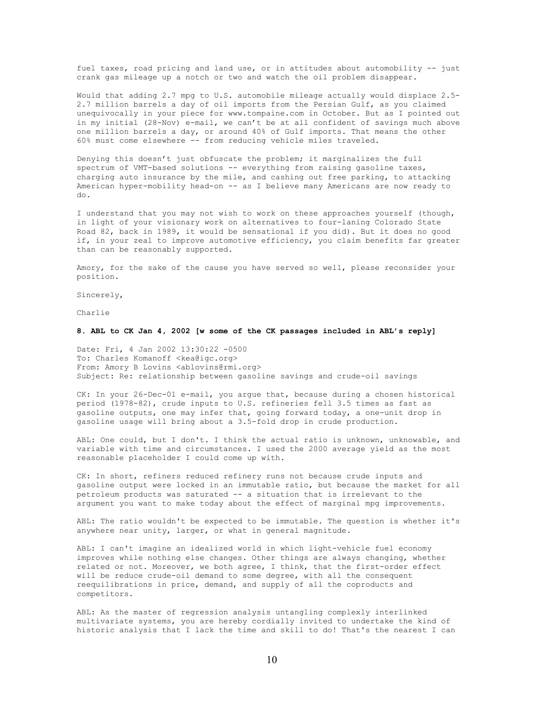fuel taxes, road pricing and land use, or in attitudes about automobility -- just crank gas mileage up a notch or two and watch the oil problem disappear.

Would that adding 2.7 mpg to U.S. automobile mileage actually would displace 2.5- 2.7 million barrels a day of oil imports from the Persian Gulf, as you claimed unequivocally in your piece for www.tompaine.com in October. But as I pointed out in my initial (28-Nov) e-mail, we can't be at all confident of savings much above one million barrels a day, or around 40% of Gulf imports. That means the other 60% must come elsewhere -- from reducing vehicle miles traveled.

Denying this doesn't just obfuscate the problem; it marginalizes the full spectrum of VMT-based solutions -- everything from raising gasoline taxes, charging auto insurance by the mile, and cashing out free parking, to attacking American hyper-mobility head-on -- as I believe many Americans are now ready to do.

I understand that you may not wish to work on these approaches yourself (though, in light of your visionary work on alternatives to four-laning Colorado State Road 82, back in 1989, it would be sensational if you did). But it does no good if, in your zeal to improve automotive efficiency, you claim benefits far greater than can be reasonably supported.

Amory, for the sake of the cause you have served so well, please reconsider your position.

Sincerely,

Charlie

#### **8. ABL to CK Jan 4, 2002 [w some of the CK passages included in ABL's reply]**

Date: Fri, 4 Jan 2002 13:30:22 -0500 To: Charles Komanoff <kea@igc.org> From: Amory B Lovins <ablovins@rmi.org> Subject: Re: relationship between gasoline savings and crude-oil savings

CK: In your 26-Dec-01 e-mail, you argue that, because during a chosen historical period (1978-82), crude inputs to U.S. refineries fell 3.5 times as fast as .<br>qasoline outputs, one may infer that, going forward today, a one-unit drop in gasoline usage will bring about a 3.5-fold drop in crude production.

ABL: One could, but I don't. I think the actual ratio is unknown, unknowable, and variable with time and circumstances. I used the 2000 average yield as the most reasonable placeholder I could come up with.

CK: In short, refiners reduced refinery runs not because crude inputs and gasoline output were locked in an immutable ratio, but because the market for all petroleum products was saturated -- a situation that is irrelevant to the argument you want to make today about the effect of marginal mpg improvements.

ABL: The ratio wouldn't be expected to be immutable. The question is whether it's anywhere near unity, larger, or what in general magnitude.

ABL: I can't imagine an idealized world in which light-vehicle fuel economy improves while nothing else changes. Other things are always changing, whether related or not. Moreover, we both agree, I think, that the first-order effect will be reduce crude-oil demand to some degree, with all the consequent reequilibrations in price, demand, and supply of all the coproducts and competitors.

ABL: As the master of regression analysis untangling complexly interlinked multivariate systems, you are hereby cordially invited to undertake the kind of historic analysis that I lack the time and skill to do! That's the nearest I can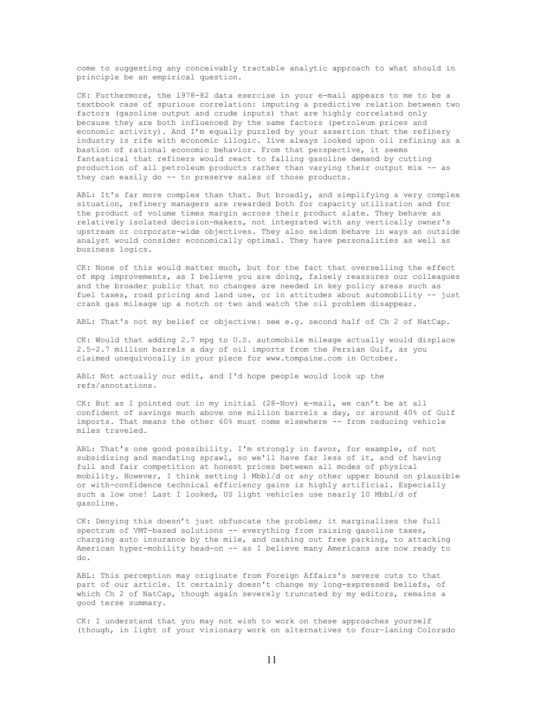come to suggesting any conceivably tractable analytic approach to what should in principle be an empirical question.

CK: Furthermore, the 1978-82 data exercise in your e-mail appears to me to be a textbook case of spurious correlation: imputing a predictive relation between two factors (gasoline output and crude inputs) that are highly correlated only because they are both influenced by the same factors (petroleum prices and economic activity). And I'm equally puzzled by your assertion that the refinery industry is rife with economic illogic. Iíve always looked upon oil refining as a bastion of rational economic behavior. From that perspective, it seems fantastical that refiners would react to falling gasoline demand by cutting production of all petroleum products rather than varying their output mix -- as they can easily do -- to preserve sales of those products.

ABL: It's far more complex than that. But broadly, and simplifying a very complex situation, refinery managers are rewarded both for capacity utilization and for the product of volume times margin across their product slate. They behave as relatively isolated decision-makers, not integrated with any vertically owner's upstream or corporate-wide objectives. They also seldom behave in ways an outside analyst would consider economically optimal. They have personalities as well as business logics.

CK: None of this would matter much, but for the fact that overselling the effect of mpg improvements, as I believe you are doing, falsely reassures our colleagues and the broader public that no changes are needed in key policy areas such as fuel taxes, road pricing and land use, or in attitudes about automobility -- just crank gas mileage up a notch or two and watch the oil problem disappear.

ABL: That's not my belief or objective: see e.g. second half of Ch 2 of NatCap.

CK: Would that adding 2.7 mpg to U.S. automobile mileage actually would displace 2.5-2.7 million barrels a day of oil imports from the Persian Gulf, as you claimed unequivocally in your piece for www.tompaine.com in October.

ABL: Not actually our edit, and I'd hope people would look up the refs/annotations.

CK: But as I pointed out in my initial (28-Nov) e-mail, we can't be at all confident of savings much above one million barrels a day, or around 40% of Gulf imports. That means the other 60% must come elsewhere -- from reducing vehicle miles traveled.

ABL: That's one good possibility. I'm strongly in favor, for example, of not subsidizing and mandating sprawl, so we'll have far less of it, and of having full and fair competition at honest prices between all modes of physical mobility. However, I think setting 1 Mbbl/d or any other upper bound on plausible or with-confidence technical efficiency gains is highly artificial. Especially such a low one! Last I looked, US light vehicles use nearly 10 Mbbl/d of gasoline.

CK: Denying this doesn't just obfuscate the problem; it marginalizes the full spectrum of VMT-based solutions -- everything from raising gasoline taxes, charging auto insurance by the mile, and cashing out free parking, to attacking American hyper-mobility head-on -- as I believe many Americans are now ready to do.

ABL: This perception may originate from Foreign Affairs's severe cuts to that part of our article. It certainly doesn't change my long-expressed beliefs, of which Ch 2 of NatCap, though again severely truncated by my editors, remains a good terse summary.

CK: I understand that you may not wish to work on these approaches yourself (though, in light of your visionary work on alternatives to four-laning Colorado